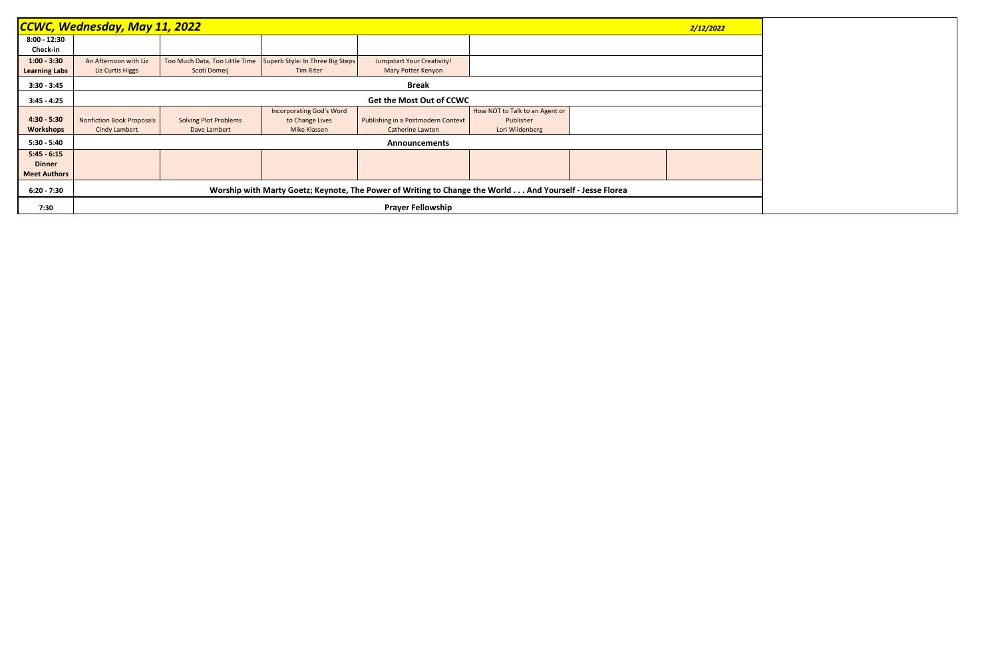|                      | <b>CCWC, Wednesday, May 11, 2022</b><br>2/12/2022                                                       |                                |                                  |                                    |                                |  |  |  |  |
|----------------------|---------------------------------------------------------------------------------------------------------|--------------------------------|----------------------------------|------------------------------------|--------------------------------|--|--|--|--|
| $8:00 - 12:30$       |                                                                                                         |                                |                                  |                                    |                                |  |  |  |  |
| Check-in             |                                                                                                         |                                |                                  |                                    |                                |  |  |  |  |
| $1:00 - 3:30$        | An Afternoon with Liz                                                                                   | Too Much Data, Too Little Time | Superb Style: In Three Big Steps | <b>Jumpstart Your Creativity!</b>  |                                |  |  |  |  |
| <b>Learning Labs</b> | Liz Curtis Higgs                                                                                        | Scoti Domeij                   | <b>Tim Riter</b>                 | Mary Potter Kenyon                 |                                |  |  |  |  |
| $3:30 - 3:45$        | <b>Break</b>                                                                                            |                                |                                  |                                    |                                |  |  |  |  |
| $3:45 - 4:25$        | <b>Get the Most Out of CCWC</b>                                                                         |                                |                                  |                                    |                                |  |  |  |  |
|                      |                                                                                                         |                                | <b>Incorporating God's Word</b>  |                                    | How NOT to Talk to an Agent or |  |  |  |  |
| $4:30 - 5:30$        | <b>Nonfiction Book Proposals</b>                                                                        | <b>Solving Plot Problems</b>   | to Change Lives                  | Publishing in a Postmodern Context | Publisher                      |  |  |  |  |
| Workshops            | <b>Cindy Lambert</b>                                                                                    | Dave Lambert                   | Mike Klassen                     | <b>Catherine Lawton</b>            | Lori Wildenberg                |  |  |  |  |
| $5:30 - 5:40$        | <b>Announcements</b>                                                                                    |                                |                                  |                                    |                                |  |  |  |  |
| $5:45 - 6:15$        |                                                                                                         |                                |                                  |                                    |                                |  |  |  |  |
| <b>Dinner</b>        |                                                                                                         |                                |                                  |                                    |                                |  |  |  |  |
| <b>Meet Authors</b>  |                                                                                                         |                                |                                  |                                    |                                |  |  |  |  |
| $6:20 - 7:30$        | Worship with Marty Goetz; Keynote, The Power of Writing to Change the World And Yourself - Jesse Florea |                                |                                  |                                    |                                |  |  |  |  |
| 7:30                 | <b>Prayer Fellowship</b>                                                                                |                                |                                  |                                    |                                |  |  |  |  |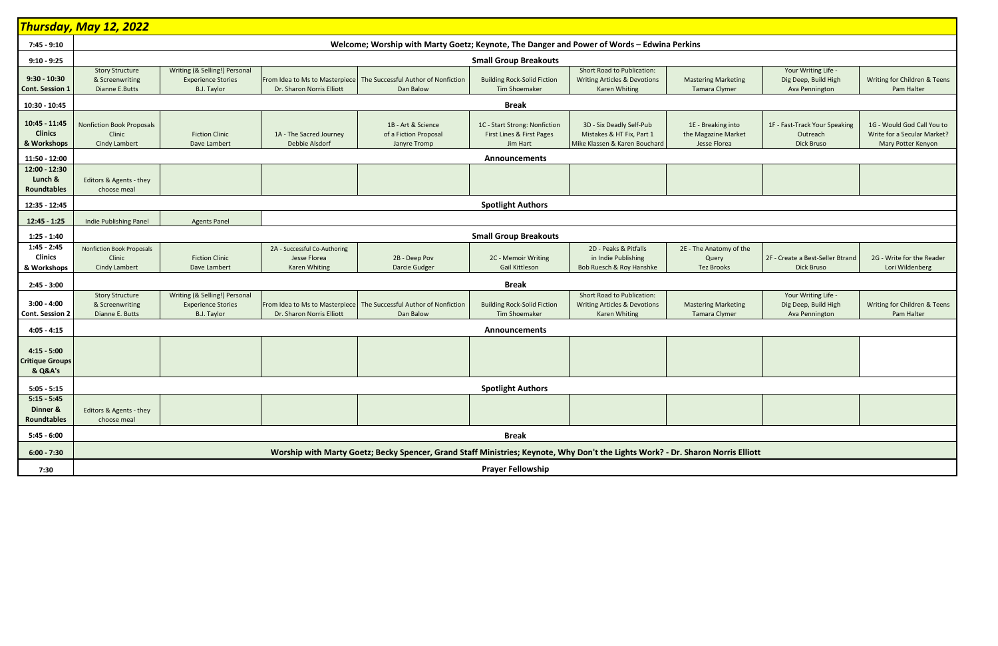|                                                                   | <mark>Thursday, May 12, 2022</mark>                                                                                              |                                                                                  |                                                             |                                                                                   |                                                                        |                                                                                                      |                                                           |                                                               |                                                                                 |
|-------------------------------------------------------------------|----------------------------------------------------------------------------------------------------------------------------------|----------------------------------------------------------------------------------|-------------------------------------------------------------|-----------------------------------------------------------------------------------|------------------------------------------------------------------------|------------------------------------------------------------------------------------------------------|-----------------------------------------------------------|---------------------------------------------------------------|---------------------------------------------------------------------------------|
|                                                                   |                                                                                                                                  |                                                                                  |                                                             |                                                                                   |                                                                        |                                                                                                      |                                                           |                                                               |                                                                                 |
| 7:45 - 9:10                                                       | Welcome; Worship with Marty Goetz; Keynote, The Danger and Power of Words - Edwina Perkins                                       |                                                                                  |                                                             |                                                                                   |                                                                        |                                                                                                      |                                                           |                                                               |                                                                                 |
| $9:10 - 9:25$                                                     | <b>Small Group Breakouts</b>                                                                                                     |                                                                                  |                                                             |                                                                                   |                                                                        |                                                                                                      |                                                           |                                                               |                                                                                 |
| $9:30 - 10:30$<br>Cont. Session 1                                 | <b>Story Structure</b><br>& Screenwriting<br>Dianne E.Butts                                                                      | Writing (& Selling!) Personal<br><b>Experience Stories</b><br><b>B.J. Taylor</b> | From Idea to Ms to Masterpiece<br>Dr. Sharon Norris Elliott | The Successful Author of Nonfiction<br>Dan Balow                                  | <b>Building Rock-Solid Fiction</b><br>Tim Shoemaker                    | Short Road to Publication:<br><b>Writing Articles &amp; Devotions</b><br>Karen Whiting               | <b>Mastering Marketing</b><br><b>Tamara Clymer</b>        | Your Writing Life -<br>Dig Deep, Build High<br>Ava Pennington | Writing for Children & Teens<br>Pam Halter                                      |
| 10:30 - 10:45                                                     |                                                                                                                                  | <b>Break</b>                                                                     |                                                             |                                                                                   |                                                                        |                                                                                                      |                                                           |                                                               |                                                                                 |
| 10:45 - 11:45<br><b>Clinics</b><br>& Workshops                    | <b>Nonfiction Book Proposals</b><br>Clinic<br><b>Cindy Lambert</b>                                                               | <b>Fiction Clinic</b><br>Dave Lambert                                            | 1A - The Sacred Journey<br>Debbie Alsdorf                   | 1B - Art & Science<br>of a Fiction Proposal<br>Janyre Tromp                       | 1C - Start Strong: Nonfiction<br>First Lines & First Pages<br>Jim Hart | 3D - Six Deadly Self-Pub<br>Mistakes & HT Fix, Part 1<br>Mike Klassen & Karen Bouchard               | 1E - Breaking into<br>the Magazine Market<br>Jesse Florea | 1F - Fast-Track Your Speaking<br>Outreach<br>Dick Bruso       | 1G - Would God Call You to<br>Write for a Secular Market?<br>Mary Potter Kenyon |
| 11:50 - 12:00                                                     |                                                                                                                                  |                                                                                  |                                                             |                                                                                   | <b>Announcements</b>                                                   |                                                                                                      |                                                           |                                                               |                                                                                 |
| 12:00 - 12:30<br>Lunch &<br><b>Roundtables</b>                    | Editors & Agents - they<br>choose meal                                                                                           |                                                                                  |                                                             |                                                                                   |                                                                        |                                                                                                      |                                                           |                                                               |                                                                                 |
| 12:35 - 12:45                                                     |                                                                                                                                  |                                                                                  |                                                             |                                                                                   | <b>Spotlight Authors</b>                                               |                                                                                                      |                                                           |                                                               |                                                                                 |
| $12:45 - 1:25$                                                    | Indie Publishing Panel<br><b>Agents Panel</b>                                                                                    |                                                                                  |                                                             |                                                                                   |                                                                        |                                                                                                      |                                                           |                                                               |                                                                                 |
| $1:25 - 1:40$                                                     |                                                                                                                                  |                                                                                  |                                                             |                                                                                   | <b>Small Group Breakouts</b>                                           |                                                                                                      |                                                           |                                                               |                                                                                 |
| $1:45 - 2:45$                                                     | <b>Nonfiction Book Proposals</b>                                                                                                 |                                                                                  | 2A - Successful Co-Authoring                                |                                                                                   |                                                                        | 2D - Peaks & Pitfalls                                                                                | 2E - The Anatomy of the                                   |                                                               |                                                                                 |
| <b>Clinics</b>                                                    | Clinic                                                                                                                           | <b>Fiction Clinic</b>                                                            | Jesse Florea                                                | 2B - Deep Pov                                                                     | 2C - Memoir Writing                                                    | in Indie Publishing                                                                                  | Query                                                     | 2F - Create a Best-Seller Btrand                              | 2G - Write for the Reader                                                       |
| & Workshops                                                       | <b>Cindy Lambert</b>                                                                                                             | Dave Lambert                                                                     | <b>Karen Whiting</b>                                        | Darcie Gudger                                                                     | <b>Gail Kittleson</b>                                                  | Bob Ruesch & Roy Hanshke                                                                             | <b>Tez Brooks</b>                                         | <b>Dick Bruso</b>                                             | Lori Wildenberg                                                                 |
| $2:45 - 3:00$                                                     |                                                                                                                                  |                                                                                  |                                                             |                                                                                   | <b>Break</b>                                                           |                                                                                                      |                                                           |                                                               |                                                                                 |
| $3:00 - 4:00$<br><b>Cont. Session 2</b>                           | <b>Story Structure</b><br>& Screenwriting<br>Dianne E. Butts                                                                     | Writing (& Selling!) Personal<br><b>Experience Stories</b><br><b>B.J. Taylor</b> | Dr. Sharon Norris Elliott                                   | From Idea to Ms to Masterpiece   The Successful Author of Nonfiction<br>Dan Balow | <b>Building Rock-Solid Fiction</b><br>Tim Shoemaker                    | <b>Short Road to Publication:</b><br><b>Writing Articles &amp; Devotions</b><br><b>Karen Whiting</b> | <b>Mastering Marketing</b><br><b>Tamara Clymer</b>        | Your Writing Life -<br>Dig Deep, Build High<br>Ava Pennington | Writing for Children & Teens<br>Pam Halter                                      |
| $4:05 - 4:15$                                                     |                                                                                                                                  |                                                                                  |                                                             |                                                                                   | Announcements                                                          |                                                                                                      |                                                           |                                                               |                                                                                 |
| $4:15 - 5:00$<br><b>Critique Groups</b><br><b>&amp; Q&amp;A's</b> |                                                                                                                                  |                                                                                  |                                                             |                                                                                   |                                                                        |                                                                                                      |                                                           |                                                               |                                                                                 |
| $5:05 - 5:15$                                                     | <b>Spotlight Authors</b>                                                                                                         |                                                                                  |                                                             |                                                                                   |                                                                        |                                                                                                      |                                                           |                                                               |                                                                                 |
| $5:15 - 5:45$<br>Dinner &<br><b>Roundtables</b>                   | Editors & Agents - they<br>choose meal                                                                                           |                                                                                  |                                                             |                                                                                   |                                                                        |                                                                                                      |                                                           |                                                               |                                                                                 |
| $5:45 - 6:00$                                                     | <b>Break</b>                                                                                                                     |                                                                                  |                                                             |                                                                                   |                                                                        |                                                                                                      |                                                           |                                                               |                                                                                 |
| $6:00 - 7:30$                                                     | Worship with Marty Goetz; Becky Spencer, Grand Staff Ministries; Keynote, Why Don't the Lights Work? - Dr. Sharon Norris Elliott |                                                                                  |                                                             |                                                                                   |                                                                        |                                                                                                      |                                                           |                                                               |                                                                                 |
| 7:30                                                              | <b>Prayer Fellowship</b>                                                                                                         |                                                                                  |                                                             |                                                                                   |                                                                        |                                                                                                      |                                                           |                                                               |                                                                                 |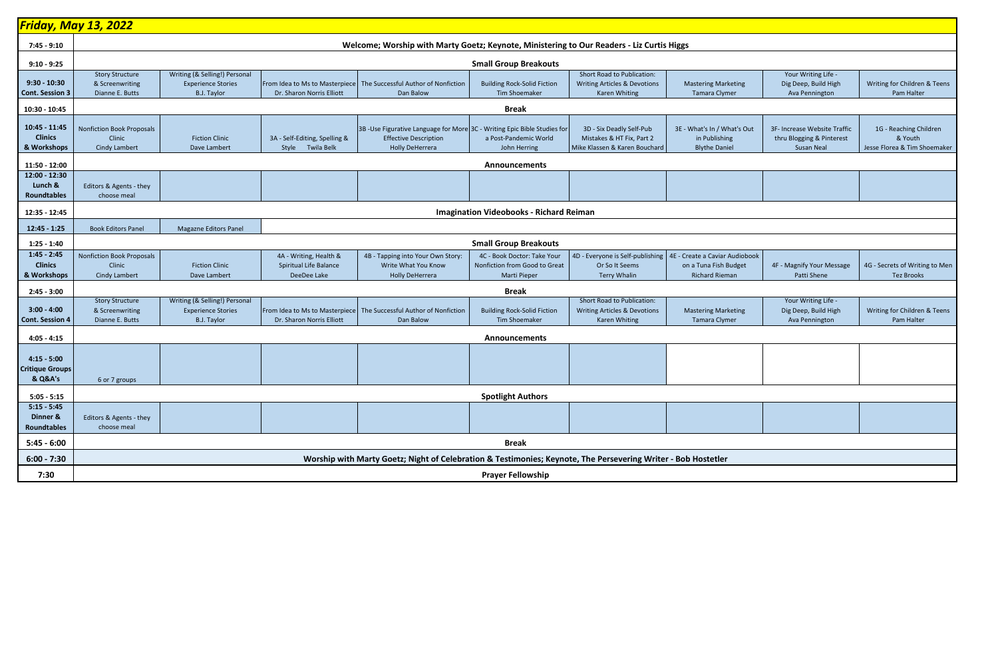|                                                    | <u>Friday, May 13, 2022</u>                                        |                                                                                  |                                                                 |                                                                                                                                    |                                                                                     |                                                                                                      |                                                                                  |                                                                                |                                                                   |  |
|----------------------------------------------------|--------------------------------------------------------------------|----------------------------------------------------------------------------------|-----------------------------------------------------------------|------------------------------------------------------------------------------------------------------------------------------------|-------------------------------------------------------------------------------------|------------------------------------------------------------------------------------------------------|----------------------------------------------------------------------------------|--------------------------------------------------------------------------------|-------------------------------------------------------------------|--|
| 7:45 - 9:10                                        |                                                                    |                                                                                  |                                                                 | Welcome; Worship with Marty Goetz; Keynote, Ministering to Our Readers - Liz Curtis Higgs                                          |                                                                                     |                                                                                                      |                                                                                  |                                                                                |                                                                   |  |
| $9:10 - 9:25$                                      | <b>Small Group Breakouts</b>                                       |                                                                                  |                                                                 |                                                                                                                                    |                                                                                     |                                                                                                      |                                                                                  |                                                                                |                                                                   |  |
| $9:30 - 10:30$<br><b>Cont. Session 3</b>           | <b>Story Structure</b><br>& Screenwriting<br>Dianne E. Butts       | Writing (& Selling!) Personal<br><b>Experience Stories</b><br><b>B.J. Taylor</b> | Dr. Sharon Norris Elliott                                       | From Idea to Ms to Masterpiece   The Successful Author of Nonfiction<br>Dan Balow                                                  | <b>Building Rock-Solid Fiction</b><br>Tim Shoemaker                                 | <b>Short Road to Publication:</b><br><b>Writing Articles &amp; Devotions</b><br><b>Karen Whiting</b> | <b>Mastering Marketing</b><br><b>Tamara Clymer</b>                               | Your Writing Life -<br>Dig Deep, Build High<br>Ava Pennington                  | Writing for Children & Teens<br>Pam Halter                        |  |
| 10:30 - 10:45                                      | <b>Break</b>                                                       |                                                                                  |                                                                 |                                                                                                                                    |                                                                                     |                                                                                                      |                                                                                  |                                                                                |                                                                   |  |
| 10:45 - 11:45<br><b>Clinics</b><br>& Workshops     | Nonfiction Book Proposals<br>Clinic<br><b>Cindy Lambert</b>        | <b>Fiction Clinic</b><br>Dave Lambert                                            | 3A - Self-Editing, Spelling &<br>Style Twila Belk               | 3B -Use Figurative Language for More 3C - Writing Epic Bible Studies for<br><b>Effective Description</b><br><b>Holly DeHerrera</b> | a Post-Pandemic World<br>John Herring                                               | 3D - Six Deadly Self-Pub<br>Mistakes & HT Fix, Part 2<br>Mike Klassen & Karen Bouchard               | 3E - What's In / What's Out<br>in Publishing<br><b>Blythe Daniel</b>             | 3F- Increase Website Traffic<br>thru Blogging & Pinterest<br><b>Susan Neal</b> | 1G - Reaching Children<br>& Youth<br>Jesse Florea & Tim Shoemaker |  |
| 11:50 - 12:00                                      |                                                                    |                                                                                  |                                                                 |                                                                                                                                    | Announcements                                                                       |                                                                                                      |                                                                                  |                                                                                |                                                                   |  |
| 12:00 - 12:30<br>Lunch &<br><b>Roundtables</b>     | Editors & Agents - they<br>choose meal                             |                                                                                  |                                                                 |                                                                                                                                    |                                                                                     |                                                                                                      |                                                                                  |                                                                                |                                                                   |  |
| 12:35 - 12:45                                      | <b>Imagination Videobooks - Richard Reiman</b>                     |                                                                                  |                                                                 |                                                                                                                                    |                                                                                     |                                                                                                      |                                                                                  |                                                                                |                                                                   |  |
| $12:45 - 1:25$                                     | <b>Book Editors Panel</b>                                          | Magazne Editors Panel                                                            |                                                                 |                                                                                                                                    |                                                                                     |                                                                                                      |                                                                                  |                                                                                |                                                                   |  |
| $1:25 - 1:40$                                      |                                                                    |                                                                                  |                                                                 |                                                                                                                                    | <b>Small Group Breakouts</b>                                                        |                                                                                                      |                                                                                  |                                                                                |                                                                   |  |
| $1:45 - 2:45$<br><b>Clinics</b><br>& Workshops     | <b>Nonfiction Book Proposals</b><br>Clinic<br><b>Cindy Lambert</b> | <b>Fiction Clinic</b><br>Dave Lambert                                            | 4A - Writing, Health &<br>Spiritual Life Balance<br>DeeDee Lake | 4B - Tapping into Your Own Story:<br>Write What You Know<br><b>Holly DeHerrera</b>                                                 | 4C - Book Doctor: Take Your<br>Nonfiction from Good to Great<br><b>Marti Pieper</b> | 4D - Everyone is Self-publishing<br>Or So It Seems<br><b>Terry Whalin</b>                            | 4E - Create a Caviar Audiobook<br>on a Tuna Fish Budget<br><b>Richard Rieman</b> | 4F - Magnify Your Message<br>Patti Shene                                       | 4G - Secrets of Writing to Men<br><b>Tez Brooks</b>               |  |
| $2:45 - 3:00$                                      |                                                                    |                                                                                  |                                                                 |                                                                                                                                    | <b>Break</b>                                                                        |                                                                                                      |                                                                                  |                                                                                |                                                                   |  |
| $3:00 - 4:00$<br><b>Cont. Session 4</b>            | <b>Story Structure</b><br>& Screenwriting<br>Dianne E. Butts       | Writing (& Selling!) Personal<br><b>Experience Stories</b><br>B.J. Taylor        | Dr. Sharon Norris Elliott                                       | From Idea to Ms to Masterpiece   The Successful Author of Nonfiction<br>Dan Balow                                                  | <b>Building Rock-Solid Fiction</b><br>Tim Shoemaker                                 | <b>Short Road to Publication:</b><br><b>Writing Articles &amp; Devotions</b><br><b>Karen Whiting</b> | <b>Mastering Marketing</b><br><b>Tamara Clymer</b>                               | Your Writing Life -<br>Dig Deep, Build High<br>Ava Pennington                  | Writing for Children & Teens<br>Pam Halter                        |  |
| $4:05 - 4:15$                                      |                                                                    |                                                                                  |                                                                 |                                                                                                                                    | Announcements                                                                       |                                                                                                      |                                                                                  |                                                                                |                                                                   |  |
| $4:15 - 5:00$<br><b>Critique Groups</b><br>& Q&A's | 6 or 7 groups                                                      |                                                                                  |                                                                 |                                                                                                                                    |                                                                                     |                                                                                                      |                                                                                  |                                                                                |                                                                   |  |
| $5:05 - 5:15$                                      |                                                                    |                                                                                  |                                                                 |                                                                                                                                    | <b>Spotlight Authors</b>                                                            |                                                                                                      |                                                                                  |                                                                                |                                                                   |  |
| $5:15 - 5:45$<br>Dinner &<br><b>Roundtables</b>    | Editors & Agents - they<br>choose meal                             |                                                                                  |                                                                 |                                                                                                                                    |                                                                                     |                                                                                                      |                                                                                  |                                                                                |                                                                   |  |
| $5:45 - 6:00$                                      |                                                                    |                                                                                  |                                                                 |                                                                                                                                    | <b>Break</b>                                                                        |                                                                                                      |                                                                                  |                                                                                |                                                                   |  |
| $6:00 - 7:30$                                      |                                                                    |                                                                                  |                                                                 | Worship with Marty Goetz; Night of Celebration & Testimonies; Keynote, The Persevering Writer - Bob Hostetler                      |                                                                                     |                                                                                                      |                                                                                  |                                                                                |                                                                   |  |
| 7:30                                               | <b>Prayer Fellowship</b>                                           |                                                                                  |                                                                 |                                                                                                                                    |                                                                                     |                                                                                                      |                                                                                  |                                                                                |                                                                   |  |